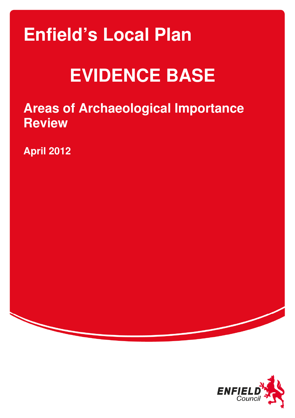# **Enfield's Local Plan**

# **EVIDENCE BASE**

**Areas of Archaeological Importance Review** 

**April 2012** 

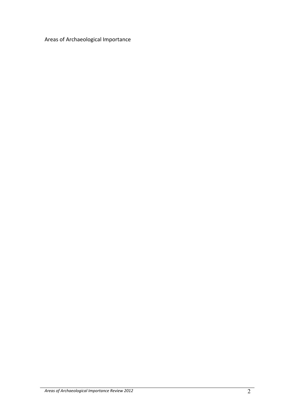Areas of Archaeological Importance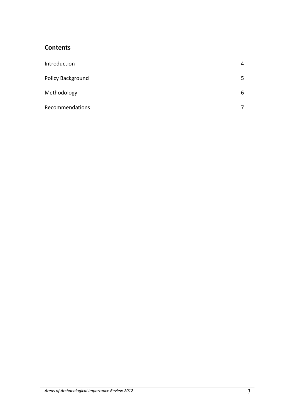# **Contents**

| Introduction      | 4  |
|-------------------|----|
| Policy Background | 5. |
| Methodology       | 6  |
| Recommendations   | 7  |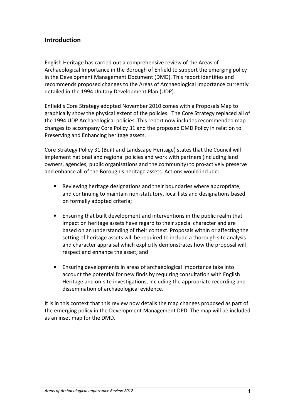# Introduction

English Heritage has carried out a comprehensive review of the Areas of Archaeological Importance in the Borough of Enfield to support the emerging policy in the Development Management Document (DMD). This report identifies and recommends proposed changes to the Areas of Archaeological Importance currently detailed in the 1994 Unitary Development Plan (UDP).

Enfield's Core Strategy adopted November 2010 comes with a Proposals Map to graphically show the physical extent of the policies. The Core Strategy replaced all of the 1994 UDP Archaeological policies. This report now includes recommended map changes to accompany Core Policy 31 and the proposed DMD Policy in relation to Preserving and Enhancing heritage assets.

Core Strategy Policy 31 (Built and Landscape Heritage) states that the Council will implement national and regional policies and work with partners (including land owners, agencies, public organisations and the community) to pro-actively preserve and enhance all of the Borough's heritage assets. Actions would include:

- Reviewing heritage designations and their boundaries where appropriate, and continuing to maintain non-statutory, local lists and designations based on formally adopted criteria;
- Ensuring that built development and interventions in the public realm that impact on heritage assets have regard to their special character and are based on an understanding of their context. Proposals within or affecting the setting of heritage assets will be required to include a thorough site analysis and character appraisal which explicitly demonstrates how the proposal will respect and enhance the asset; and
- Ensuring developments in areas of archaeological importance take into account the potential for new finds by requiring consultation with English Heritage and on-site investigations, including the appropriate recording and dissemination of archaeological evidence.

It is in this context that this review now details the map changes proposed as part of the emerging policy in the Development Management DPD. The map will be included as an inset map for the DMD.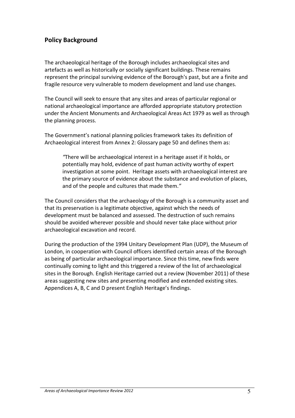# Policy Background

The archaeological heritage of the Borough includes archaeological sites and artefacts as well as historically or socially significant buildings. These remains represent the principal surviving evidence of the Borough's past, but are a finite and fragile resource very vulnerable to modern development and land use changes.

The Council will seek to ensure that any sites and areas of particular regional or national archaeological importance are afforded appropriate statutory protection under the Ancient Monuments and Archaeological Areas Act 1979 as well as through the planning process.

The Government's national planning policies framework takes its definition of Archaeological interest from Annex 2: Glossary page 50 and defines them as:

"There will be archaeological interest in a heritage asset if it holds, or potentially may hold, evidence of past human activity worthy of expert investigation at some point. Heritage assets with archaeological interest are the primary source of evidence about the substance and evolution of places, and of the people and cultures that made them."

The Council considers that the archaeology of the Borough is a community asset and that its preservation is a legitimate objective, against which the needs of development must be balanced and assessed. The destruction of such remains should be avoided wherever possible and should never take place without prior archaeological excavation and record.

During the production of the 1994 Unitary Development Plan (UDP), the Museum of London, in cooperation with Council officers identified certain areas of the Borough as being of particular archaeological importance. Since this time, new finds were continually coming to light and this triggered a review of the list of archaeological sites in the Borough. English Heritage carried out a review (November 2011) of these areas suggesting new sites and presenting modified and extended existing sites. Appendices A, B, C and D present English Heritage's findings.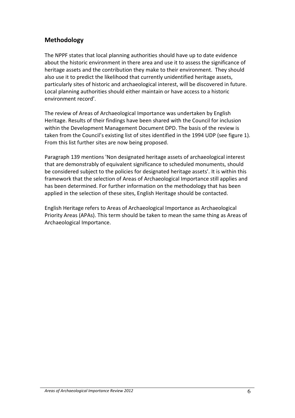# Methodology

The NPPF states that local planning authorities should have up to date evidence about the historic environment in there area and use it to assess the significance of heritage assets and the contribution they make to their environment. They should also use it to predict the likelihood that currently unidentified heritage assets, particularly sites of historic and archaeological interest, will be discovered in future. Local planning authorities should either maintain or have access to a historic environment record'.

The review of Areas of Archaeological Importance was undertaken by English Heritage. Results of their findings have been shared with the Council for inclusion within the Development Management Document DPD. The basis of the review is taken from the Council's existing list of sites identified in the 1994 UDP (see figure 1). From this list further sites are now being proposed.

Paragraph 139 mentions 'Non designated heritage assets of archaeological interest that are demonstrably of equivalent significance to scheduled monuments, should be considered subject to the policies for designated heritage assets'. It is within this framework that the selection of Areas of Archaeological Importance still applies and has been determined. For further information on the methodology that has been applied in the selection of these sites, English Heritage should be contacted.

English Heritage refers to Areas of Archaeological Importance as Archaeological Priority Areas (APAs). This term should be taken to mean the same thing as Areas of Archaeological Importance.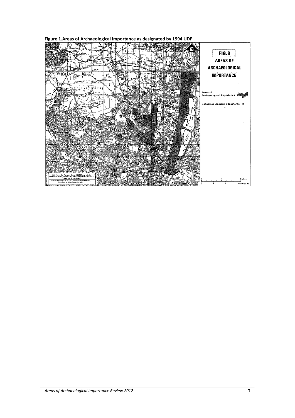Figure 1.Areas of Archaeological Importance as designated by 1994 UDP

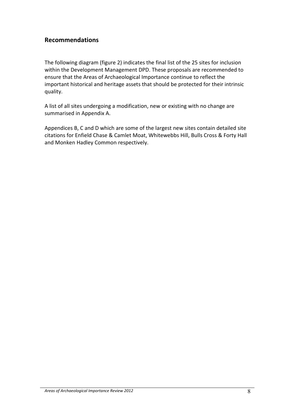# Recommendations

The following diagram (figure 2) indicates the final list of the 25 sites for inclusion within the Development Management DPD. These proposals are recommended to ensure that the Areas of Archaeological Importance continue to reflect the important historical and heritage assets that should be protected for their intrinsic quality.

A list of all sites undergoing a modification, new or existing with no change are summarised in Appendix A.

Appendices B, C and D which are some of the largest new sites contain detailed site citations for Enfield Chase & Camlet Moat, Whitewebbs Hill, Bulls Cross & Forty Hall and Monken Hadley Common respectively.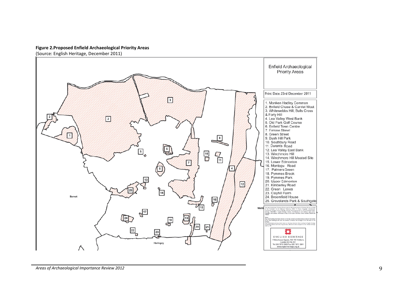#### Figure 2.Proposed Enfield Archaeological Priority Areas

(Source: English Heritage, December 2011)

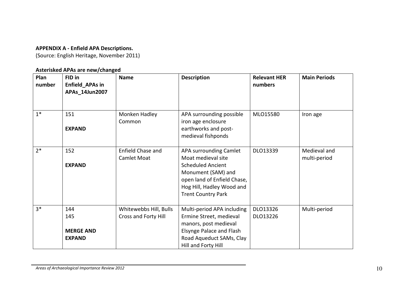#### APPENDIX A - Enfield APA Descriptions.

(Source: English Heritage, November 2011)

#### Asterisked APAs are new/changed

| Plan<br>number | FID in<br>Enfield_APAs in<br>APAs_14Jun2007     | <b>Name</b>                                    | <b>Description</b>                                                                                                                                                                      | <b>Relevant HER</b><br>numbers | <b>Main Periods</b>          |
|----------------|-------------------------------------------------|------------------------------------------------|-----------------------------------------------------------------------------------------------------------------------------------------------------------------------------------------|--------------------------------|------------------------------|
| $1*$           | 151<br><b>EXPAND</b>                            | Monken Hadley<br>Common                        | APA surrounding possible<br>iron age enclosure<br>earthworks and post-<br>medieval fishponds                                                                                            | MLO15580                       | Iron age                     |
| $2*$           | 152<br><b>EXPAND</b>                            | Enfield Chase and<br><b>Camlet Moat</b>        | APA surrounding Camlet<br>Moat medieval site<br><b>Scheduled Ancient</b><br>Monument (SAM) and<br>open land of Enfield Chase,<br>Hog Hill, Hadley Wood and<br><b>Trent Country Park</b> | DLO13339                       | Medieval and<br>multi-period |
| $3*$           | 144<br>145<br><b>MERGE AND</b><br><b>EXPAND</b> | Whitewebbs Hill, Bulls<br>Cross and Forty Hill | Multi-period APA including<br>Ermine Street, medieval<br>manors, post medieval<br>Elsynge Palace and Flash<br>Road Aqueduct SAMs, Clay<br>Hill and Forty Hill                           | DLO13326<br>DLO13226           | Multi-period                 |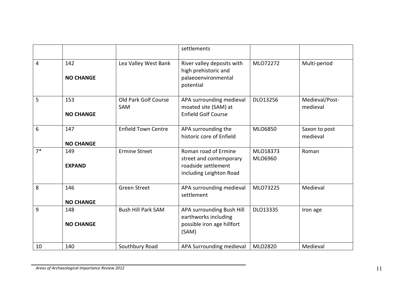|      |                         |                                    | settlements                                                                                       |                     |                            |
|------|-------------------------|------------------------------------|---------------------------------------------------------------------------------------------------|---------------------|----------------------------|
| 4    | 142<br><b>NO CHANGE</b> | Lea Valley West Bank               | River valley deposits with<br>high prehistoric and<br>palaeoenvironmental<br>potential            | MLO72272            | Multi-period               |
| 5    | 153<br><b>NO CHANGE</b> | Old Park Golf Course<br><b>SAM</b> | APA surrounding medieval<br>moated site (SAM) at<br><b>Enfield Golf Course</b>                    | DLO13256            | Medieval/Post-<br>medieval |
| 6    | 147<br><b>NO CHANGE</b> | <b>Enfield Town Centre</b>         | APA surrounding the<br>historic core of Enfield                                                   | MLO6850             | Saxon to post<br>medieval  |
| $7*$ | 149<br><b>EXPAND</b>    | <b>Ermine Street</b>               | Roman road of Ermine<br>street and contemporary<br>roadside settlement<br>including Leighton Road | MLO18373<br>MLO6960 | Roman                      |
| 8    | 146<br><b>NO CHANGE</b> | <b>Green Street</b>                | APA surrounding medieval<br>settlement                                                            | MLO73225            | Medieval                   |
| 9    | 148<br><b>NO CHANGE</b> | <b>Bush Hill Park SAM</b>          | APA surrounding Bush Hill<br>earthworks including<br>possible iron age hillfort<br>(SAM)          | DLO13335            | Iron age                   |
| 10   | 140                     | Southbury Road                     | APA Surrounding medieval                                                                          | MLO2820             | Medieval                   |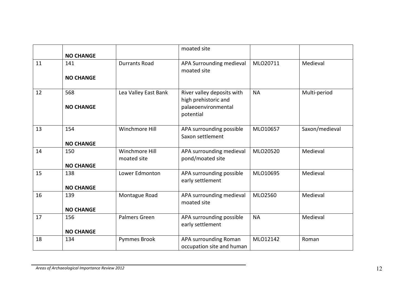|    | <b>NO CHANGE</b>        |                               | moated site                                                                            |           |                |
|----|-------------------------|-------------------------------|----------------------------------------------------------------------------------------|-----------|----------------|
| 11 | 141<br><b>NO CHANGE</b> | <b>Durrants Road</b>          | APA Surrounding medieval<br>moated site                                                | MLO20711  | Medieval       |
| 12 | 568<br><b>NO CHANGE</b> | Lea Valley East Bank          | River valley deposits with<br>high prehistoric and<br>palaeoenvironmental<br>potential | <b>NA</b> | Multi-period   |
| 13 | 154<br><b>NO CHANGE</b> | Winchmore Hill                | APA surrounding possible<br>Saxon settlement                                           | MLO10657  | Saxon/medieval |
| 14 | 150<br><b>NO CHANGE</b> | Winchmore Hill<br>moated site | APA surrounding medieval<br>pond/moated site                                           | MLO20520  | Medieval       |
| 15 | 138<br><b>NO CHANGE</b> | Lower Edmonton                | APA surrounding possible<br>early settlement                                           | MLO10695  | Medieval       |
| 16 | 139<br><b>NO CHANGE</b> | Montague Road                 | APA surrounding medieval<br>moated site                                                | MLO2560   | Medieval       |
| 17 | 156<br><b>NO CHANGE</b> | Palmers Green                 | APA surrounding possible<br>early settlement                                           | <b>NA</b> | Medieval       |
| 18 | 134                     | <b>Pymmes Brook</b>           | APA surrounding Roman<br>occupation site and human                                     | MLO12142  | Roman          |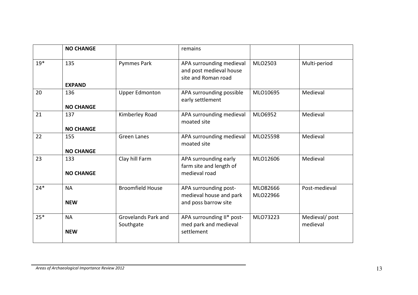|       | <b>NO CHANGE</b>     |                                  | remains                                                                    |          |                           |
|-------|----------------------|----------------------------------|----------------------------------------------------------------------------|----------|---------------------------|
| $19*$ | 135<br><b>EXPAND</b> | <b>Pymmes Park</b>               | APA surrounding medieval<br>and post medieval house<br>site and Roman road | MLO2503  | Multi-period              |
| 20    | 136                  | <b>Upper Edmonton</b>            |                                                                            | MLO10695 | Medieval                  |
|       |                      |                                  | APA surrounding possible<br>early settlement                               |          |                           |
|       | <b>NO CHANGE</b>     |                                  |                                                                            |          |                           |
| 21    | 137                  | Kimberley Road                   | APA surrounding medieval<br>moated site                                    | MLO6952  | Medieval                  |
|       | <b>NO CHANGE</b>     |                                  |                                                                            |          |                           |
| 22    | 155                  | <b>Green Lanes</b>               | APA surrounding medieval<br>moated site                                    | MLO25598 | Medieval                  |
|       | <b>NO CHANGE</b>     |                                  |                                                                            |          |                           |
| 23    | 133                  | Clay hill Farm                   | APA surrounding early<br>farm site and length of                           | MLO12606 | Medieval                  |
|       | <b>NO CHANGE</b>     |                                  | medieval road                                                              |          |                           |
| $24*$ | <b>NA</b>            | <b>Broomfield House</b>          | APA surrounding post-                                                      | MLO82666 | Post-medieval             |
|       | <b>NEW</b>           |                                  | medieval house and park<br>and poss barrow site                            | MLO22966 |                           |
| $25*$ | <b>NA</b>            | Grovelands Park and<br>Southgate | APA surrounding II* post-<br>med park and medieval                         | MLO73223 | Medieval/post<br>medieval |
|       | <b>NEW</b>           |                                  | settlement                                                                 |          |                           |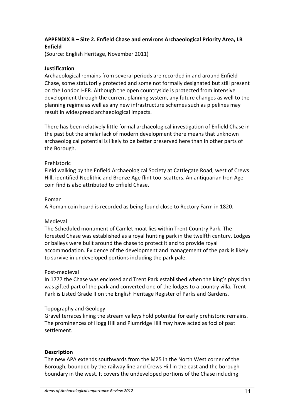# APPENDIX B – Site 2. Enfield Chase and environs Archaeological Priority Area, LB Enfield

(Source: English Heritage, November 2011)

## Justification

Archaeological remains from several periods are recorded in and around Enfield Chase, some statutorily protected and some not formally designated but still present on the London HER. Although the open countryside is protected from intensive development through the current planning system, any future changes as well to the planning regime as well as any new infrastructure schemes such as pipelines may result in widespread archaeological impacts.

There has been relatively little formal archaeological investigation of Enfield Chase in the past but the similar lack of modern development there means that unknown archaeological potential is likely to be better preserved here than in other parts of the Borough.

#### Prehistoric

Field walking by the Enfield Archaeological Society at Cattlegate Road, west of Crews Hill, identified Neolithic and Bronze Age flint tool scatters. An antiquarian Iron Age coin find is also attributed to Enfield Chase.

### Roman

A Roman coin hoard is recorded as being found close to Rectory Farm in 1820.

# Medieval

The Scheduled monument of Camlet moat lies within Trent Country Park. The forested Chase was established as a royal hunting park in the twelfth century. Lodges or baileys were built around the chase to protect it and to provide royal accommodation. Evidence of the development and management of the park is likely to survive in undeveloped portions including the park pale.

#### Post-medieval

In 1777 the Chase was enclosed and Trent Park established when the king's physician was gifted part of the park and converted one of the lodges to a country villa. Trent Park is Listed Grade II on the English Heritage Register of Parks and Gardens.

# Topography and Geology

Gravel terraces lining the stream valleys hold potential for early prehistoric remains. The prominences of Hogg Hill and Plumridge Hill may have acted as foci of past settlement.

# **Description**

The new APA extends southwards from the M25 in the North West corner of the Borough, bounded by the railway line and Crews Hill in the east and the borough boundary in the west. It covers the undeveloped portions of the Chase including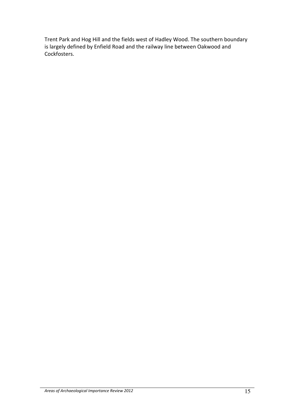Trent Park and Hog Hill and the fields west of Hadley Wood. The southern boundary is largely defined by Enfield Road and the railway line between Oakwood and Cockfosters.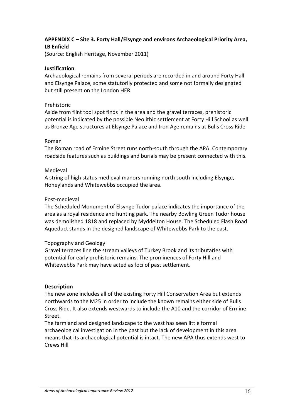# APPENDIX C – Site 3. Forty Hall/Elsynge and environs Archaeological Priority Area, LB Enfield

(Source: English Heritage, November 2011)

### Justification

Archaeological remains from several periods are recorded in and around Forty Hall and Elsynge Palace, some statutorily protected and some not formally designated but still present on the London HER.

#### Prehistoric

Aside from flint tool spot finds in the area and the gravel terraces, prehistoric potential is indicated by the possible Neolithic settlement at Forty Hill School as well as Bronze Age structures at Elsynge Palace and Iron Age remains at Bulls Cross Ride

#### Roman

The Roman road of Ermine Street runs north-south through the APA. Contemporary roadside features such as buildings and burials may be present connected with this.

#### Medieval

A string of high status medieval manors running north south including Elsynge, Honeylands and Whitewebbs occupied the area.

#### Post-medieval

The Scheduled Monument of Elsynge Tudor palace indicates the importance of the area as a royal residence and hunting park. The nearby Bowling Green Tudor house was demolished 1818 and replaced by Myddelton House. The Scheduled Flash Road Aqueduct stands in the designed landscape of Whitewebbs Park to the east.

#### Topography and Geology

Gravel terraces line the stream valleys of Turkey Brook and its tributaries with potential for early prehistoric remains. The prominences of Forty Hill and Whitewebbs Park may have acted as foci of past settlement.

#### Description

The new zone includes all of the existing Forty Hill Conservation Area but extends northwards to the M25 in order to include the known remains either side of Bulls Cross Ride. It also extends westwards to include the A10 and the corridor of Ermine Street.

The farmland and designed landscape to the west has seen little formal archaeological investigation in the past but the lack of development in this area means that its archaeological potential is intact. The new APA thus extends west to Crews Hill